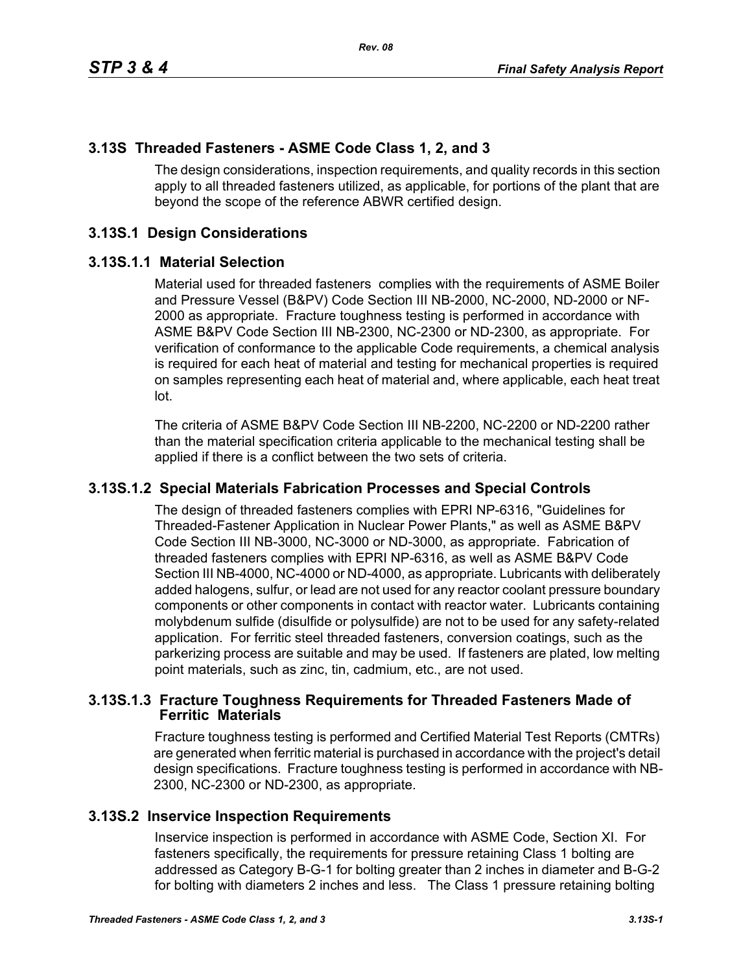# **3.13S Threaded Fasteners - ASME Code Class 1, 2, and 3**

The design considerations, inspection requirements, and quality records in this section apply to all threaded fasteners utilized, as applicable, for portions of the plant that are beyond the scope of the reference ABWR certified design.

# **3.13S.1 Design Considerations**

#### **3.13S.1.1 Material Selection**

Material used for threaded fasteners complies with the requirements of ASME Boiler and Pressure Vessel (B&PV) Code Section III NB-2000, NC-2000, ND-2000 or NF-2000 as appropriate. Fracture toughness testing is performed in accordance with ASME B&PV Code Section III NB-2300, NC-2300 or ND-2300, as appropriate. For verification of conformance to the applicable Code requirements, a chemical analysis is required for each heat of material and testing for mechanical properties is required on samples representing each heat of material and, where applicable, each heat treat lot.

The criteria of ASME B&PV Code Section III NB-2200, NC-2200 or ND-2200 rather than the material specification criteria applicable to the mechanical testing shall be applied if there is a conflict between the two sets of criteria.

## **3.13S.1.2 Special Materials Fabrication Processes and Special Controls**

The design of threaded fasteners complies with EPRI NP-6316, "Guidelines for Threaded-Fastener Application in Nuclear Power Plants," as well as ASME B&PV Code Section III NB-3000, NC-3000 or ND-3000, as appropriate. Fabrication of threaded fasteners complies with EPRI NP-6316, as well as ASME B&PV Code Section III NB-4000, NC-4000 or ND-4000, as appropriate. Lubricants with deliberately added halogens, sulfur, or lead are not used for any reactor coolant pressure boundary components or other components in contact with reactor water. Lubricants containing molybdenum sulfide (disulfide or polysulfide) are not to be used for any safety-related application. For ferritic steel threaded fasteners, conversion coatings, such as the parkerizing process are suitable and may be used. If fasteners are plated, low melting point materials, such as zinc, tin, cadmium, etc., are not used.

## **3.13S.1.3 Fracture Toughness Requirements for Threaded Fasteners Made of Ferritic Materials**

Fracture toughness testing is performed and Certified Material Test Reports (CMTRs) are generated when ferritic material is purchased in accordance with the project's detail design specifications. Fracture toughness testing is performed in accordance with NB-2300, NC-2300 or ND-2300, as appropriate.

## **3.13S.2 Inservice Inspection Requirements**

Inservice inspection is performed in accordance with ASME Code, Section XI. For fasteners specifically, the requirements for pressure retaining Class 1 bolting are addressed as Category B-G-1 for bolting greater than 2 inches in diameter and B-G-2 for bolting with diameters 2 inches and less. The Class 1 pressure retaining bolting